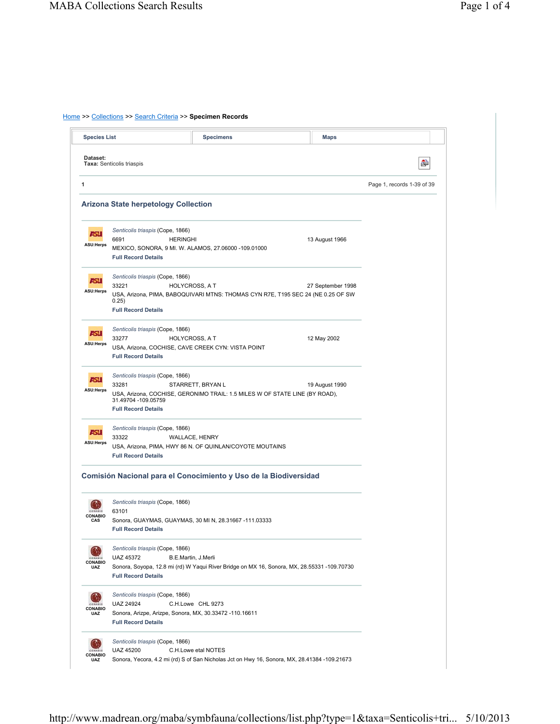## Home >> Collections >> Search Criteria >> **Specimen Records**

|                          | <b>Species List</b>                                                                   | <b>Specimens</b>                                                            | <b>Maps</b>                                                                                 |                            |
|--------------------------|---------------------------------------------------------------------------------------|-----------------------------------------------------------------------------|---------------------------------------------------------------------------------------------|----------------------------|
| Dataset:                 | Taxa: Senticolis triaspis                                                             |                                                                             |                                                                                             | ò                          |
|                          |                                                                                       |                                                                             |                                                                                             | Page 1, records 1-39 of 39 |
|                          | <b>Arizona State herpetology Collection</b>                                           |                                                                             |                                                                                             |                            |
|                          | Senticolis triaspis (Cope, 1866)                                                      |                                                                             |                                                                                             |                            |
| ASU                      | 6691<br><b>HERINGHI</b>                                                               |                                                                             | 13 August 1966                                                                              |                            |
| <b>ASU:Herps</b>         | MEXICO, SONORA, 9 MI. W. ALAMOS, 27.06000 -109.01000                                  |                                                                             |                                                                                             |                            |
|                          | <b>Full Record Details</b>                                                            |                                                                             |                                                                                             |                            |
| ASU                      | Senticolis triaspis (Cope, 1866)                                                      |                                                                             |                                                                                             |                            |
| <b>ASU:Herps</b>         | 33221                                                                                 | HOLYCROSS, A T                                                              | 27 September 1998                                                                           |                            |
|                          | 0.25)<br><b>Full Record Details</b>                                                   |                                                                             | USA, Arizona, PIMA, BABOQUIVARI MTNS: THOMAS CYN R7E, T195 SEC 24 (NE 0.25 OF SW            |                            |
|                          | Senticolis triaspis (Cope, 1866)                                                      |                                                                             |                                                                                             |                            |
| ASU                      | 33277                                                                                 | <b>HOLYCROSS, A T</b>                                                       | 12 May 2002                                                                                 |                            |
| <b>ASU:Herps</b>         | USA, Arizona, COCHISE, CAVE CREEK CYN: VISTA POINT<br><b>Full Record Details</b>      |                                                                             |                                                                                             |                            |
| الحاء                    | Senticolis triaspis (Cope, 1866)                                                      |                                                                             |                                                                                             |                            |
| <b>ASU:Herps</b>         | 33281                                                                                 | STARRETT, BRYAN L                                                           | 19 August 1990                                                                              |                            |
|                          | 31.49704 -109.05759                                                                   | USA, Arizona, COCHISE, GERONIMO TRAIL: 1.5 MILES W OF STATE LINE (BY ROAD), |                                                                                             |                            |
|                          | <b>Full Record Details</b>                                                            |                                                                             |                                                                                             |                            |
|                          | Senticolis triaspis (Cope, 1866)                                                      |                                                                             |                                                                                             |                            |
| ASI.                     | 33322                                                                                 | WALLACE, HENRY                                                              |                                                                                             |                            |
| <b>ASU:Herps</b>         |                                                                                       | USA, Arizona, PIMA, HWY 86 N. OF QUINLAN/COYOTE MOUTAINS                    |                                                                                             |                            |
|                          | <b>Full Record Details</b>                                                            |                                                                             |                                                                                             |                            |
|                          | Comisión Nacional para el Conocimiento y Uso de la Biodiversidad                      |                                                                             |                                                                                             |                            |
|                          | Senticolis triaspis (Cope, 1866)                                                      |                                                                             |                                                                                             |                            |
|                          | 63101                                                                                 |                                                                             |                                                                                             |                            |
| <b>CONABIO</b><br>CAS    | <b>Full Record Details</b>                                                            | Sonora, GUAYMAS, GUAYMAS, 30 MI N, 28.31667 -111.03333                      |                                                                                             |                            |
|                          | Senticolis triaspis (Cope, 1866)                                                      |                                                                             |                                                                                             |                            |
|                          | UAZ 45372                                                                             | B.E.Martin, J.Merli                                                         |                                                                                             |                            |
| <b>CONABIO</b><br>UAZ    | <b>Full Record Details</b>                                                            |                                                                             | Sonora, Soyopa, 12.8 mi (rd) W Yaqui River Bridge on MX 16, Sonora, MX, 28.55331 -109.70730 |                            |
|                          | Senticolis triaspis (Cope, 1866)                                                      |                                                                             |                                                                                             |                            |
| CONABIO                  | <b>UAZ 24924</b>                                                                      | C.H.Lowe CHL 9273                                                           |                                                                                             |                            |
| UAZ                      | Sonora, Arizpe, Arizpe, Sonora, MX, 30.33472 -110.16611<br><b>Full Record Details</b> |                                                                             |                                                                                             |                            |
|                          |                                                                                       |                                                                             |                                                                                             |                            |
| CONARE<br><b>CONABIO</b> | Senticolis triaspis (Cope, 1866)<br>UAZ 45200                                         | C.H.Lowe etal NOTES                                                         |                                                                                             |                            |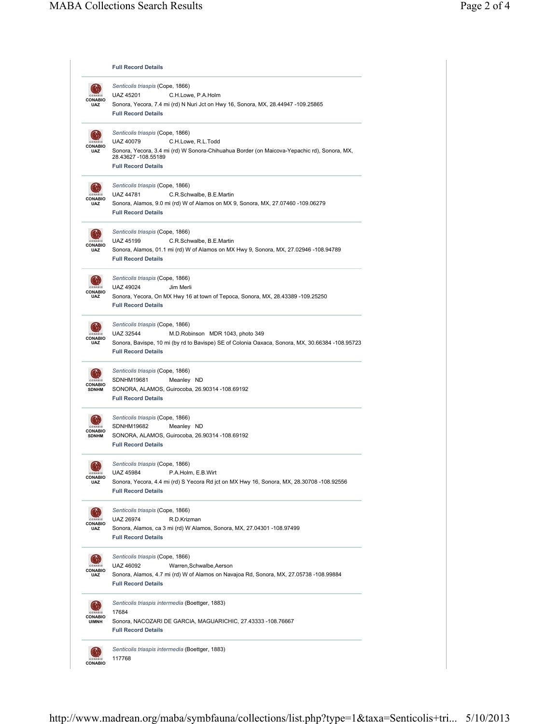|                                  | <b>Full Record Details</b>                                                                                                                                                                                              |
|----------------------------------|-------------------------------------------------------------------------------------------------------------------------------------------------------------------------------------------------------------------------|
| ONABIO<br>UAZ                    | Senticolis triaspis (Cope, 1866)<br><b>UAZ 45201</b><br>C.H.Lowe, P.A.Holm<br>Sonora, Yecora, 7.4 mi (rd) N Nuri Jct on Hwy 16, Sonora, MX, 28.44947 -109.25865<br><b>Full Record Details</b>                           |
| ONABIO<br><b>UAZ</b>             | Senticolis triaspis (Cope, 1866)<br>UAZ 40079<br>C.H.Lowe, R.L.Todd<br>Sonora, Yecora, 3.4 mi (rd) W Sonora-Chihuahua Border (on Maicova-Yepachic rd), Sonora, MX,<br>28.43627 -108.55189<br><b>Full Record Details</b> |
| <b>CONABIO</b><br>UAZ            | Senticolis triaspis (Cope, 1866)<br><b>UAZ 44781</b><br>C.R.Schwalbe, B.E.Martin<br>Sonora, Alamos, 9.0 mi (rd) W of Alamos on MX 9, Sonora, MX, 27.07460 -109.06279<br><b>Full Record Details</b>                      |
| <b>CONABIO</b><br>UAZ            | Senticolis triaspis (Cope, 1866)<br><b>UAZ 45199</b><br>C.R.Schwalbe, B.E.Martin<br>Sonora, Alamos, 01.1 mi (rd) W of Alamos on MX Hwy 9, Sonora, MX, 27.02946 -108.94789<br><b>Full Record Details</b>                 |
| <b>CONABIO</b><br><b>UAZ</b>     | Senticolis triaspis (Cope, 1866)<br><b>UAZ 49024</b><br>Jim Merli<br>Sonora, Yecora, On MX Hwy 16 at town of Tepoca, Sonora, MX, 28.43389 -109.25250<br><b>Full Record Details</b>                                      |
| <b>CONABIO</b><br>UAZ            | Senticolis triaspis (Cope, 1866)<br>UAZ 32544<br>M.D.Robinson MDR 1043, photo 349<br>Sonora, Bavispe, 10 mi (by rd to Bavispe) SE of Colonia Oaxaca, Sonora, MX, 30.66384 -108.95723<br><b>Full Record Details</b>      |
| <b>CONABIO</b><br><b>SDNHM</b>   | Senticolis triaspis (Cope, 1866)<br>SDNHM19681<br>Meanley ND<br>SONORA, ALAMOS, Guirocoba, 26.90314 -108.69192<br><b>Full Record Details</b>                                                                            |
| <b>CONABIO</b><br><b>SDNHM</b>   | Senticolis triaspis (Cope, 1866)<br>SDNHM19682<br>Meanley ND<br>SONORA, ALAMOS, Guirocoba, 26.90314 -108.69192<br><b>Full Record Details</b>                                                                            |
| CONARIO<br><b>CONABIO</b><br>UAZ | Senticolis triaspis (Cope, 1866)<br>UAZ 45984<br>P.A.Holm, E.B.Wirt<br>Sonora, Yecora, 4.4 mi (rd) S Yecora Rd jct on MX Hwy 16, Sonora, MX, 28.30708 -108.92556<br><b>Full Record Details</b>                          |
| <b>CONABIO</b><br>UAZ            | Senticolis triaspis (Cope, 1866)<br>UAZ 26974<br>R.D.Krizman<br>Sonora, Alamos, ca 3 mi (rd) W Alamos, Sonora, MX, 27.04301 -108.97499<br><b>Full Record Details</b>                                                    |
| <b>CONABIO</b><br>UAZ            | Senticolis triaspis (Cope, 1866)<br>UAZ 46092<br>Warren, Schwalbe, Aerson<br>Sonora, Alamos, 4.7 mi (rd) W of Alamos on Navajoa Rd, Sonora, MX, 27.05738 -108.99884<br><b>Full Record Details</b>                       |
| <b>CONABIO</b><br><b>UIMNH</b>   | Senticolis triaspis intermedia (Boettger, 1883)<br>17684<br>Sonora, NACOZARI DE GARCIA, MAGUARICHIC, 27.43333 -108.76667<br><b>Full Record Details</b>                                                                  |
| <b>CONABIO</b>                   | Senticolis triaspis intermedia (Boettger, 1883)<br>117768                                                                                                                                                               |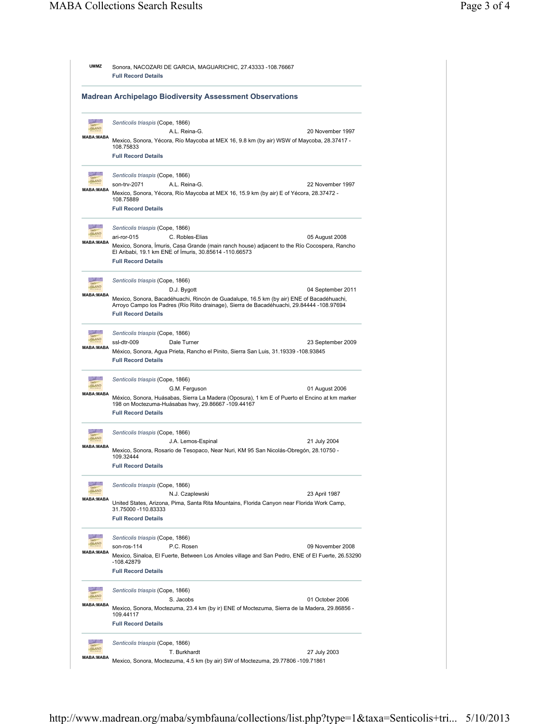|                                                                 | Sonora, NACOZARI DE GARCIA, MAGUARICHIC, 27.43333 -108.76667<br><b>Full Record Details</b>                                                                                                                                                              |  |  |  |  |
|-----------------------------------------------------------------|---------------------------------------------------------------------------------------------------------------------------------------------------------------------------------------------------------------------------------------------------------|--|--|--|--|
| <b>Madrean Archipelago Biodiversity Assessment Observations</b> |                                                                                                                                                                                                                                                         |  |  |  |  |
|                                                                 | Senticolis triaspis (Cope, 1866)<br>A.L. Reina-G.<br>20 November 1997                                                                                                                                                                                   |  |  |  |  |
| <b>MABA:MABA</b>                                                | Mexico, Sonora, Yécora, Río Maycoba at MEX 16, 9.8 km (by air) WSW of Maycoba, 28.37417 -<br>108.75833                                                                                                                                                  |  |  |  |  |
|                                                                 | <b>Full Record Details</b>                                                                                                                                                                                                                              |  |  |  |  |
| <b>MABA:MABA</b>                                                | Senticolis triaspis (Cope, 1866)<br>son-trv-2071<br>22 November 1997<br>A.L. Reina-G.                                                                                                                                                                   |  |  |  |  |
|                                                                 | Mexico, Sonora, Yécora, Río Maycoba at MEX 16, 15.9 km (by air) E of Yécora, 28.37472 -<br>108.75889<br><b>Full Record Details</b>                                                                                                                      |  |  |  |  |
| <b>ISLAND</b>                                                   | Senticolis triaspis (Cope, 1866)                                                                                                                                                                                                                        |  |  |  |  |
| <b>MABA:MABA</b>                                                | ari-ror-015<br>C. Robles-Elias<br>05 August 2008                                                                                                                                                                                                        |  |  |  |  |
|                                                                 | Mexico, Sonora, Imuris, Casa Grande (main ranch house) adjacent to the Río Cocospera, Rancho<br>El Aribabi, 19.1 km ENE of Imuris, 30.85614 -110.66573<br><b>Full Record Details</b>                                                                    |  |  |  |  |
| <b>SALE</b><br><b>ISLAND</b>                                    | Senticolis triaspis (Cope, 1866)                                                                                                                                                                                                                        |  |  |  |  |
| <b>MABA:MABA</b>                                                | 04 September 2011<br>D.J. Bygott<br>Mexico, Sonora, Bacadéhuachi, Rincón de Guadalupe, 16.5 km (by air) ENE of Bacadéhuachi,<br>Arroyo Campo los Padres (Río Riito drainage), Sierra de Bacadéhuachi, 29.84444 -108.97694<br><b>Full Record Details</b> |  |  |  |  |
| <b>ISLAND</b>                                                   | Senticolis triaspis (Cope, 1866)                                                                                                                                                                                                                        |  |  |  |  |
| <b>MABA:MABA</b>                                                | ssl-dtr-009<br>Dale Turner<br>23 September 2009<br>México, Sonora, Agua Prieta, Rancho el Pinito, Sierra San Luis, 31.19339 -108.93845<br><b>Full Record Details</b>                                                                                    |  |  |  |  |
| <b>ISLAND</b>                                                   | Senticolis triaspis (Cope, 1866)                                                                                                                                                                                                                        |  |  |  |  |
| <b>MABA:MABA</b>                                                | G.M. Ferguson<br>01 August 2006<br>México, Sonora, Huásabas, Sierra La Madera (Oposura), 1 km E of Puerto el Encino at km marker<br>198 on Moctezuma-Huásabas hwy, 29.86667 -109.44167<br><b>Full Record Details</b>                                    |  |  |  |  |
| <b>ISLAND</b>                                                   | Senticolis triaspis (Cope, 1866)                                                                                                                                                                                                                        |  |  |  |  |
| <b>MABA:MABA</b>                                                | J.A. Lemos-Espinal<br>21 July 2004                                                                                                                                                                                                                      |  |  |  |  |
|                                                                 | Mexico, Sonora, Rosario de Tesopaco, Near Nuri, KM 95 San Nicolás-Obregón, 28.10750 -<br>109.32444<br><b>Full Record Details</b>                                                                                                                        |  |  |  |  |
|                                                                 | Senticolis triaspis (Cope, 1866)                                                                                                                                                                                                                        |  |  |  |  |
| <b>MABA:MABA</b>                                                | N.J. Czaplewski<br>23 April 1987<br>United States, Arizona, Pima, Santa Rita Mountains, Florida Canyon near Florida Work Camp,<br>31.75000 -110.83333<br><b>Full Record Details</b>                                                                     |  |  |  |  |
| <b>ISLAND</b>                                                   | Senticolis triaspis (Cope, 1866)                                                                                                                                                                                                                        |  |  |  |  |
| <b>MABA:MABA</b>                                                | P.C. Rosen<br>09 November 2008<br>son-ros-114<br>Mexico, Sinaloa, El Fuerte, Between Los Amoles village and San Pedro, ENE of El Fuerte, 26.53290<br>-108.42879                                                                                         |  |  |  |  |
|                                                                 | <b>Full Record Details</b>                                                                                                                                                                                                                              |  |  |  |  |
|                                                                 | Senticolis triaspis (Cope, 1866)<br>S. Jacobs<br>01 October 2006                                                                                                                                                                                        |  |  |  |  |
| <b>MABA:MABA</b>                                                | Mexico, Sonora, Moctezuma, 23.4 km (by ir) ENE of Moctezuma, Sierra de la Madera, 29.86856 -<br>109.44117                                                                                                                                               |  |  |  |  |
|                                                                 | <b>Full Record Details</b>                                                                                                                                                                                                                              |  |  |  |  |
|                                                                 | Senticolis triaspis (Cope, 1866)                                                                                                                                                                                                                        |  |  |  |  |
|                                                                 | T. Burkhardt<br>27 July 2003                                                                                                                                                                                                                            |  |  |  |  |